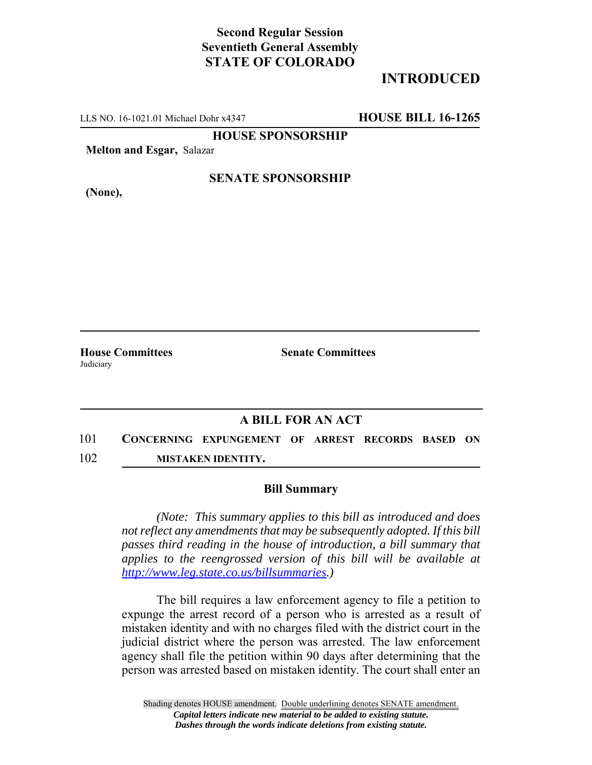## **Second Regular Session Seventieth General Assembly STATE OF COLORADO**

# **INTRODUCED**

LLS NO. 16-1021.01 Michael Dohr x4347 **HOUSE BILL 16-1265**

**HOUSE SPONSORSHIP**

**Melton and Esgar,** Salazar

**(None),**

#### **SENATE SPONSORSHIP**

**House Committees Senate Committees Judiciary** 

## **A BILL FOR AN ACT**

101 **CONCERNING EXPUNGEMENT OF ARREST RECORDS BASED ON** 102 **MISTAKEN IDENTITY.**

## **Bill Summary**

*(Note: This summary applies to this bill as introduced and does not reflect any amendments that may be subsequently adopted. If this bill passes third reading in the house of introduction, a bill summary that applies to the reengrossed version of this bill will be available at http://www.leg.state.co.us/billsummaries.)*

The bill requires a law enforcement agency to file a petition to expunge the arrest record of a person who is arrested as a result of mistaken identity and with no charges filed with the district court in the judicial district where the person was arrested. The law enforcement agency shall file the petition within 90 days after determining that the person was arrested based on mistaken identity. The court shall enter an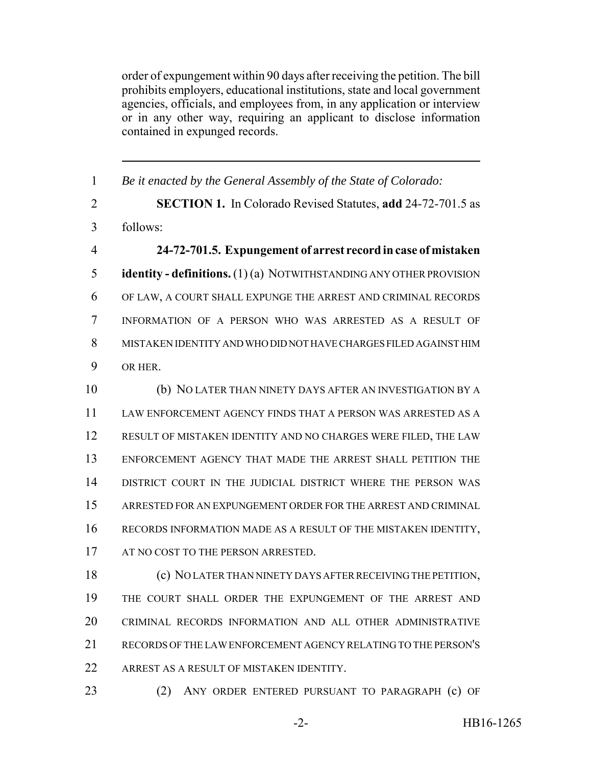order of expungement within 90 days after receiving the petition. The bill prohibits employers, educational institutions, state and local government agencies, officials, and employees from, in any application or interview or in any other way, requiring an applicant to disclose information contained in expunged records.

 *Be it enacted by the General Assembly of the State of Colorado:* **SECTION 1.** In Colorado Revised Statutes, **add** 24-72-701.5 as follows: **24-72-701.5. Expungement of arrest record in case of mistaken identity - definitions.** (1) (a) NOTWITHSTANDING ANY OTHER PROVISION OF LAW, A COURT SHALL EXPUNGE THE ARREST AND CRIMINAL RECORDS INFORMATION OF A PERSON WHO WAS ARRESTED AS A RESULT OF MISTAKEN IDENTITY AND WHO DID NOT HAVE CHARGES FILED AGAINST HIM OR HER. (b) NO LATER THAN NINETY DAYS AFTER AN INVESTIGATION BY A LAW ENFORCEMENT AGENCY FINDS THAT A PERSON WAS ARRESTED AS A RESULT OF MISTAKEN IDENTITY AND NO CHARGES WERE FILED, THE LAW ENFORCEMENT AGENCY THAT MADE THE ARREST SHALL PETITION THE DISTRICT COURT IN THE JUDICIAL DISTRICT WHERE THE PERSON WAS ARRESTED FOR AN EXPUNGEMENT ORDER FOR THE ARREST AND CRIMINAL RECORDS INFORMATION MADE AS A RESULT OF THE MISTAKEN IDENTITY, 17 AT NO COST TO THE PERSON ARRESTED. (c) NO LATER THAN NINETY DAYS AFTER RECEIVING THE PETITION, THE COURT SHALL ORDER THE EXPUNGEMENT OF THE ARREST AND CRIMINAL RECORDS INFORMATION AND ALL OTHER ADMINISTRATIVE RECORDS OF THE LAW ENFORCEMENT AGENCY RELATING TO THE PERSON'S 22 ARREST AS A RESULT OF MISTAKEN IDENTITY.

(2) ANY ORDER ENTERED PURSUANT TO PARAGRAPH (c) OF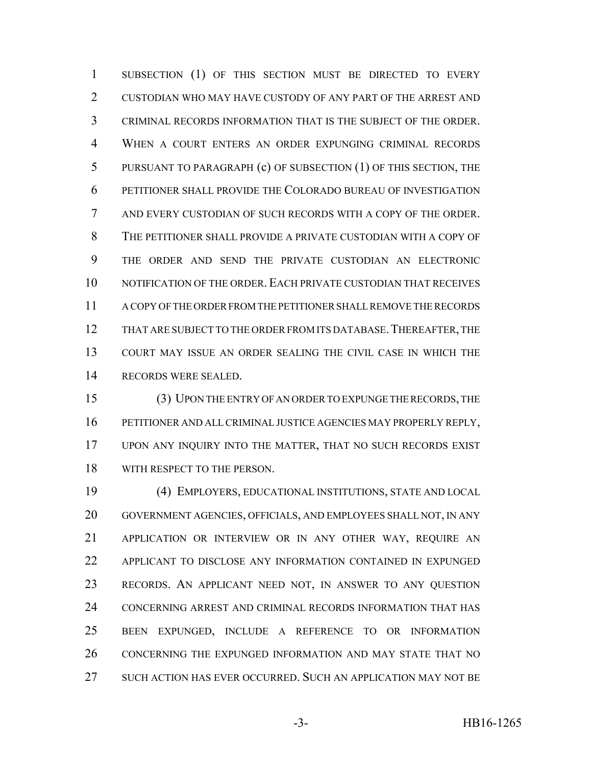SUBSECTION (1) OF THIS SECTION MUST BE DIRECTED TO EVERY CUSTODIAN WHO MAY HAVE CUSTODY OF ANY PART OF THE ARREST AND CRIMINAL RECORDS INFORMATION THAT IS THE SUBJECT OF THE ORDER. WHEN A COURT ENTERS AN ORDER EXPUNGING CRIMINAL RECORDS PURSUANT TO PARAGRAPH (c) OF SUBSECTION (1) OF THIS SECTION, THE PETITIONER SHALL PROVIDE THE COLORADO BUREAU OF INVESTIGATION AND EVERY CUSTODIAN OF SUCH RECORDS WITH A COPY OF THE ORDER. THE PETITIONER SHALL PROVIDE A PRIVATE CUSTODIAN WITH A COPY OF THE ORDER AND SEND THE PRIVATE CUSTODIAN AN ELECTRONIC NOTIFICATION OF THE ORDER. EACH PRIVATE CUSTODIAN THAT RECEIVES A COPY OF THE ORDER FROM THE PETITIONER SHALL REMOVE THE RECORDS 12 THAT ARE SUBJECT TO THE ORDER FROM ITS DATABASE. THEREAFTER, THE COURT MAY ISSUE AN ORDER SEALING THE CIVIL CASE IN WHICH THE RECORDS WERE SEALED.

 (3) UPON THE ENTRY OF AN ORDER TO EXPUNGE THE RECORDS, THE PETITIONER AND ALL CRIMINAL JUSTICE AGENCIES MAY PROPERLY REPLY, UPON ANY INQUIRY INTO THE MATTER, THAT NO SUCH RECORDS EXIST WITH RESPECT TO THE PERSON.

 (4) EMPLOYERS, EDUCATIONAL INSTITUTIONS, STATE AND LOCAL GOVERNMENT AGENCIES, OFFICIALS, AND EMPLOYEES SHALL NOT, IN ANY APPLICATION OR INTERVIEW OR IN ANY OTHER WAY, REQUIRE AN APPLICANT TO DISCLOSE ANY INFORMATION CONTAINED IN EXPUNGED RECORDS. AN APPLICANT NEED NOT, IN ANSWER TO ANY QUESTION CONCERNING ARREST AND CRIMINAL RECORDS INFORMATION THAT HAS BEEN EXPUNGED, INCLUDE A REFERENCE TO OR INFORMATION CONCERNING THE EXPUNGED INFORMATION AND MAY STATE THAT NO SUCH ACTION HAS EVER OCCURRED. SUCH AN APPLICATION MAY NOT BE